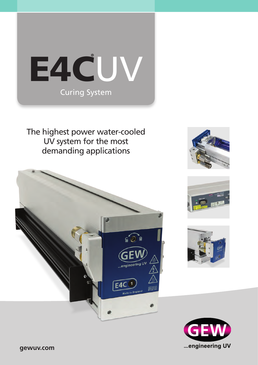

The highest power water-cooled UV system for the most demanding applications









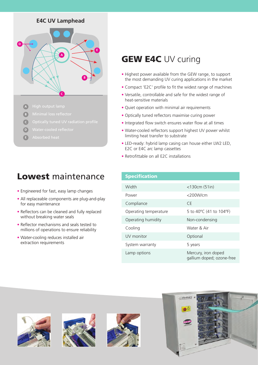## **E4C UV Lamphead**



- **A**
- **B**
- **C**
- **D**
- **E**

# Lowest maintenance

- **•** Engineered for fast, easy lamp changes
- **•** All replaceable components are plug-and-play for easy maintenance
- **•** Reflectors can be cleaned and fully replaced without breaking water seals
- **•** Reflector mechanisms and seals tested to millions of operations to ensure reliability
- **•** Water-cooling reduces installed air extraction requirements

# **GEW E4C UV curing**

- **•** Highest power available from the GEW range, to support the most demanding UV curing applications in the market
- **•** Compact 'E2C' profile to fit the widest range of machines
- **•** Versatile, controllable and safe for the widest range of heat-sensitive materials
- **•** Quiet operation with minimal air requirements
- **•** Optically tuned reflectors maximise curing power
- **•** Integrated flow switch ensures water flow at all times
- **•** Water-cooled reflectors support highest UV power whilst limiting heat transfer to substrate
- **•** LED-ready: hybrid lamp casing can house either LW2 LED, E2C or E4C arc lamp cassettes
- **•** Retrofittable on all E2C installations

## **Specification**

| Width                 | $<$ 130 $cm(51in)$                               |
|-----------------------|--------------------------------------------------|
| Power                 | $<$ 200 $W/cm$                                   |
| Compliance            | CF.                                              |
| Operating temperature | 5 to 40°C (41 to 104°F)                          |
| Operating humidity    | Non-condensing                                   |
| Cooling               | Water & Air                                      |
| UV monitor            | Optional                                         |
| System warranty       | 5 years                                          |
| Lamp options          | Mercury, iron doped<br>gallium doped; ozone-free |







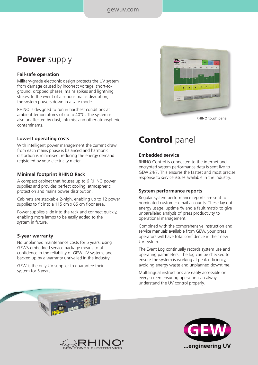#### gewuv.com

## **Power** supply

#### **Fail-safe operation**

Military-grade electronic design protects the UV system from damage caused by incorrect voltage, short-toground, dropped phases, mains spikes and lightning strikes. In the event of a serious mains disruption, the system powers down in a safe mode.

RHINO is designed to run in harshest conditions at ambient temperatures of up to 40°C. The system is also unaffected by dust, ink mist and other atmospheric contaminants.

#### **Lowest operating costs**

With intelligent power management the current draw from each mains phase is balanced and harmonic distortion is minimised, reducing the energy demand registered by your electricity meter.

#### **Minimal footprint RHINO Rack**

A compact cabinet that houses up to 6 RHINO power supplies and provides perfect cooling, atmospheric protection and mains power distribution.

Cabinets are stackable 2-high, enabling up to 12 power supplies to fit into a 115 cm x 65 cm floor area.

Power supplies slide into the rack and connect quickly, enabling more lamps to be easily added to the system in future.

#### **5-year warranty**

No unplanned maintenance costs for 5 years: using GEW's embedded service package means total confidence in the reliability of GEW UV systems and backed up by a warranty unrivalled in the industry.

GEW is the only UV supplier to guarantee their system for 5 years.



any superior to a

GEW SHOP

## **Control** panel

#### **Embedded service**

RHINO Control is connected to the internet and encrypted system performance data is sent live to GEW 24/7. This ensures the fastest and most precise response to service issues available in the industry.

#### **System performance reports**

Regular system performance reports are sent to nominated customer email accounts. These lay out energy usage, uptime % and a fault matrix to give unparalleled analysis of press productivity to operational management.

Combined with the comprehensive instruction and service manuals available from GEW, your press operators will have total confidence in their new UV system.

The Event Log continually records system use and operating parameters. The log can be checked to ensure the system is working at peak efficiency, avoiding energy waste and unplanned downtime.

Multilingual instructions are easily accessible on every screen ensuring operators can always understand the UV control properly.